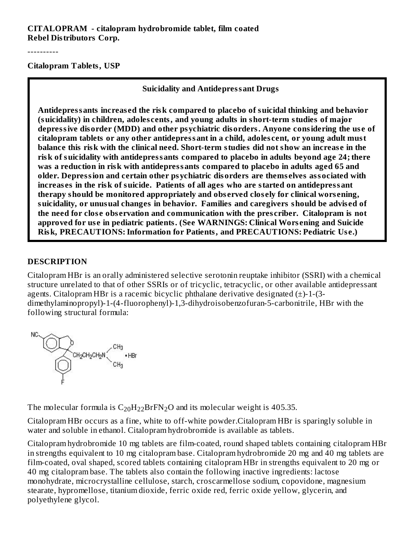----------

**Citalopram Tablets, USP**

**Suicidality and Antidepressant Drugs**

**Antidepressants increas ed the risk compared to placebo of suicidal thinking and behavior (suicidality) in children, adoles cents, and young adults in short-term studies of major depressive disorder (MDD) and other psychiatric disorders. Anyone considering the us e of citalopram tablets or any other antidepressant in a child, adoles cent, or young adult must balance this risk with the clinical need. Short-term studies did not show an increas e in the risk of suicidality with antidepressants compared to placebo in adults beyond age 24; there was a reduction in risk with antidepressants compared to placebo in adults aged 65 and older. Depression and certain other psychiatric disorders are thems elves associated with increas es in the risk of suicide. Patients of all ages who are started on antidepressant therapy should be monitored appropriately and obs erved clos ely for clinical wors ening, suicidality, or unusual changes in behavior. Families and caregivers should be advis ed of the need for clos e obs ervation and communication with the pres criber. Citalopram is not approved for us e in pediatric patients. (See WARNINGS: Clinical Wors ening and Suicide Risk, PRECAUTIONS:Information for Patients, and PRECAUTIONS: Pediatric Us e.)**

#### **DESCRIPTION**

Citalopram HBr is an orally administered selective serotonin reuptake inhibitor (SSRI) with a chemical structure unrelated to that of other SSRIs or of tricyclic, tetracyclic, or other available antidepressant agents. Citalopram HBr is a racemic bicyclic phthalane derivative designated  $(\pm)$ -1- $(3$ dimethylaminopropyl)-1-(4-fluorophenyl)-1,3-dihydroisobenzofuran-5-carbonitrile, HBr with the following structural formula:



The molecular formula is  $C_{20}H_{22}BrFN_2O$  and its molecular weight is 405.35.

Citalopram HBr occurs as a fine, white to off-white powder.Citalopram HBr is sparingly soluble in water and soluble in ethanol. Citalopram hydrobromide is available as tablets.

Citalopram hydrobromide 10 mg tablets are film-coated, round shaped tablets containing citalopram HBr in strengths equivalent to 10 mg citalopram base. Citalopram hydrobromide 20 mg and 40 mg tablets are film-coated, oval shaped, scored tablets containing citalopram HBr in strengths equivalent to 20 mg or 40 mg citalopram base. The tablets also contain the following inactive ingredients: lactose monohydrate, microcrystalline cellulose, starch, croscarmellose sodium, copovidone, magnesium stearate, hypromellose, titanium dioxide, ferric oxide red, ferric oxide yellow, glycerin, and polyethylene glycol.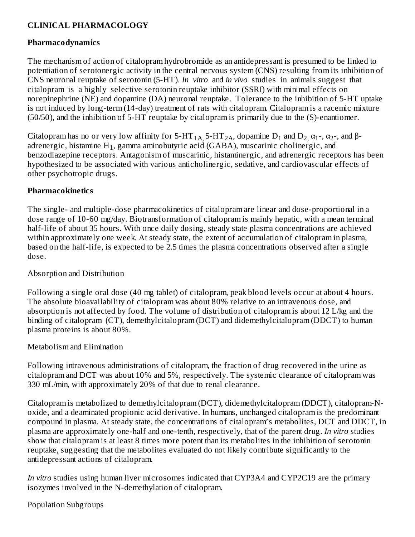### **CLINICAL PHARMACOLOGY**

#### **Pharmacodynamics**

The mechanism of action of citalopram hydrobromide as an antidepressant is presumed to be linked to potentiation of serotonergic activity in the central nervous system (CNS) resulting from its inhibition of CNS neuronal reuptake of serotonin (5-HT). *In vitro* and *in vivo* studies in animals suggest that citalopram is a highly selective serotonin reuptake inhibitor (SSRI) with minimal effects on norepinephrine (NE) and dopamine (DA) neuronal reuptake. Tolerance to the inhibition of 5-HT uptake is not induced by long-term (14-day) treatment of rats with citalopram. Citalopram is a racemic mixture (50/50), and the inhibition of 5-HT reuptake by citalopram is primarily due to the (S)-enantiomer.

Citalopram has no or very low affinity for 5-HT<sub>1A,</sub> 5-HT<sub>2A</sub>, dopamine D<sub>1</sub> and D<sub>2,</sub> α<sub>1</sub>-, α<sub>2</sub>-, and βadrenergic, histamine  $H_1$ , gamma aminobutyric acid (GABA), muscarinic cholinergic, and benzodiazepine receptors. Antagonism of muscarinic, histaminergic, and adrenergic receptors has been hypothesized to be associated with various anticholinergic, sedative, and cardiovascular effects of other psychotropic drugs.

#### **Pharmacokinetics**

The single- and multiple-dose pharmacokinetics of citalopram are linear and dose-proportional in a dose range of 10-60 mg/day. Biotransformation of citalopram is mainly hepatic, with a mean terminal half-life of about 35 hours. With once daily dosing, steady state plasma concentrations are achieved within approximately one week. At steady state, the extent of accumulation of citalopram in plasma, based on the half-life, is expected to be 2.5 times the plasma concentrations observed after a single dose.

#### Absorption and Distribution

Following a single oral dose (40 mg tablet) of citalopram, peak blood levels occur at about 4 hours. The absolute bioavailability of citalopram was about 80% relative to an intravenous dose, and absorption is not affected by food. The volume of distribution of citalopram is about 12 L/kg and the binding of citalopram (CT), demethylcitalopram (DCT) and didemethylcitalopram (DDCT) to human plasma proteins is about 80%.

#### Metabolism and Elimination

Following intravenous administrations of citalopram, the fraction of drug recovered in the urine as citalopram and DCT was about 10% and 5%, respectively. The systemic clearance of citalopram was 330 mL/min, with approximately 20% of that due to renal clearance.

Citalopram is metabolized to demethylcitalopram (DCT), didemethylcitalopram (DDCT), citalopram-Noxide, and a deaminated propionic acid derivative. In humans, unchanged citalopram is the predominant compound in plasma. At steady state, the concentrations of citalopram's metabolites, DCT and DDCT, in plasma are approximately one-half and one-tenth, respectively, that of the parent drug. *In vitro* studies show that citalopram is at least 8 times more potent than its metabolites in the inhibition of serotonin reuptake, suggesting that the metabolites evaluated do not likely contribute significantly to the antidepressant actions of citalopram.

*In vitro* studies using human liver microsomes indicated that CYP3A4 and CYP2C19 are the primary isozymes involved in the N-demethylation of citalopram.

Population Subgroups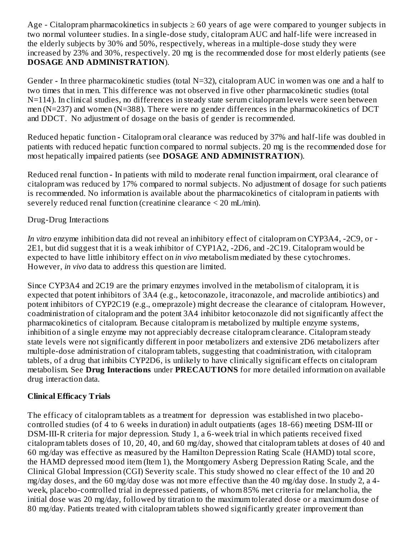Age - Citalopram pharmacokinetics in subjects  $\geq 60$  years of age were compared to younger subjects in two normal volunteer studies. In a single-dose study, citalopram AUC and half-life were increased in the elderly subjects by 30% and 50%, respectively, whereas in a multiple-dose study they were increased by 23% and 30%, respectively. 20 mg is the recommended dose for most elderly patients (see **DOSAGE AND ADMINISTRATION**).

Gender **-** In three pharmacokinetic studies (total N=32), citalopram AUC in women was one and a half to two times that in men. This difference was not observed in five other pharmacokinetic studies (total N=114). In clinical studies, no differences in steady state serum citalopram levels were seen between men (N=237) and women (N=388). There were no gender differences in the pharmacokinetics of DCT and DDCT. No adjustment of dosage on the basis of gender is recommended.

Reduced hepatic function **-** Citalopram oral clearance was reduced by 37% and half-life was doubled in patients with reduced hepatic function compared to normal subjects. 20 mg is the recommended dose for most hepatically impaired patients (see **DOSAGE AND ADMINISTRATION**).

Reduced renal function **-** In patients with mild to moderate renal function impairment, oral clearance of citalopram was reduced by 17% compared to normal subjects. No adjustment of dosage for such patients is recommended. No information is available about the pharmacokinetics of citalopram in patients with severely reduced renal function (creatinine clearance < 20 mL/min).

#### Drug-Drug Interactions

*In vitro* enzyme inhibition data did not reveal an inhibitory effect of citalopram on CYP3A4, -2C9, or - 2E1, but did suggest that it is a weak inhibitor of CYP1A2, -2D6, and -2C19. Citalopram would be expected to have little inhibitory effect on *in vivo* metabolism mediated by these cytochromes. However, *in vivo* data to address this question are limited.

Since CYP3A4 and 2C19 are the primary enzymes involved in the metabolism of citalopram, it is expected that potent inhibitors of 3A4 (e.g., ketoconazole, itraconazole, and macrolide antibiotics) and potent inhibitors of CYP2C19 (e.g., omeprazole) might decrease the clearance of citalopram. However, coadministration of citalopram and the potent 3A4 inhibitor ketoconazole did not significantly affect the pharmacokinetics of citalopram. Because citalopram is metabolized by multiple enzyme systems, inhibition of a single enzyme may not appreciably decrease citalopram clearance. Citalopram steady state levels were not significantly different in poor metabolizers and extensive 2D6 metabolizers after multiple-dose administration of citalopram tablets, suggesting that coadministration, with citalopram tablets, of a drug that inhibits CYP2D6, is unlikely to have clinically significant effects on citalopram metabolism. See **Drug Interactions** under **PRECAUTIONS** for more detailed information on available drug interaction data.

#### **Clinical Efficacy Trials**

The efficacy of citalopram tablets as a treatment for depression was established in two placebocontrolled studies (of 4 to 6 weeks in duration) in adult outpatients (ages 18-66) meeting DSM-III or DSM-III-R criteria for major depression. Study 1, a 6-week trial in which patients received fixed citalopram tablets doses of 10, 20, 40, and 60 mg/day, showed that citalopram tablets at doses of 40 and 60 mg/day was effective as measured by the Hamilton Depression Rating Scale (HAMD) total score, the HAMD depressed mood item (Item 1), the Montgomery Asberg Depression Rating Scale, and the Clinical Global Impression (CGI) Severity scale. This study showed no clear effect of the 10 and 20 mg/day doses, and the 60 mg/day dose was not more effective than the 40 mg/day dose. In study 2, a 4 week, placebo-controlled trial in depressed patients, of whom 85% met criteria for melancholia, the initial dose was 20 mg/day, followed by titration to the maximum tolerated dose or a maximum dose of 80 mg/day. Patients treated with citalopram tablets showed significantly greater improvement than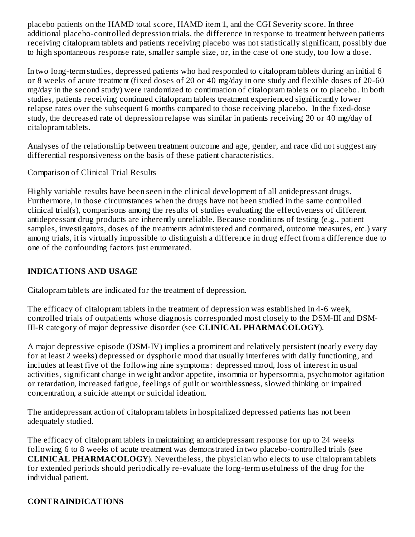placebo patients on the HAMD total score, HAMD item 1, and the CGI Severity score. In three additional placebo-controlled depression trials, the difference in response to treatment between patients receiving citalopram tablets and patients receiving placebo was not statistically significant, possibly due to high spontaneous response rate, smaller sample size, or, in the case of one study, too low a dose.

In two long-term studies, depressed patients who had responded to citalopram tablets during an initial 6 or 8 weeks of acute treatment (fixed doses of 20 or 40 mg/day in one study and flexible doses of 20-60 mg/day in the second study) were randomized to continuation of citalopram tablets or to placebo. In both studies, patients receiving continued citalopram tablets treatment experienced significantly lower relapse rates over the subsequent 6 months compared to those receiving placebo. In the fixed-dose study, the decreased rate of depression relapse was similar in patients receiving 20 or 40 mg/day of citalopram tablets.

Analyses of the relationship between treatment outcome and age, gender, and race did not suggest any differential responsiveness on the basis of these patient characteristics.

Comparison of Clinical Trial Results

Highly variable results have been seen in the clinical development of all antidepressant drugs. Furthermore, in those circumstances when the drugs have not been studied in the same controlled clinical trial(s), comparisons among the results of studies evaluating the effectiveness of different antidepressant drug products are inherently unreliable. Because conditions of testing (e.g., patient samples, investigators, doses of the treatments administered and compared, outcome measures, etc.) vary among trials, it is virtually impossible to distinguish a difference in drug effect from a difference due to one of the confounding factors just enumerated.

#### **INDICATIONS AND USAGE**

Citalopram tablets are indicated for the treatment of depression.

The efficacy of citalopram tablets in the treatment of depression was established in 4-6 week, controlled trials of outpatients whose diagnosis corresponded most closely to the DSM-III and DSM-III-R category of major depressive disorder (see **CLINICAL PHARMACOLOGY**).

A major depressive episode (DSM-IV) implies a prominent and relatively persistent (nearly every day for at least 2 weeks) depressed or dysphoric mood that usually interferes with daily functioning, and includes at least five of the following nine symptoms: depressed mood, loss of interest in usual activities, significant change in weight and/or appetite, insomnia or hypersomnia, psychomotor agitation or retardation, increased fatigue, feelings of guilt or worthlessness, slowed thinking or impaired concentration, a suicide attempt or suicidal ideation.

The antidepressant action of citalopram tablets in hospitalized depressed patients has not been adequately studied.

The efficacy of citalopram tablets in maintaining an antidepressant response for up to 24 weeks following 6 to 8 weeks of acute treatment was demonstrated in two placebo-controlled trials (see **CLINICAL PHARMACOLOGY**). Nevertheless, the physician who elects to use citalopram tablets for extended periods should periodically re-evaluate the long-term usefulness of the drug for the individual patient.

#### **CONTRAINDICATIONS**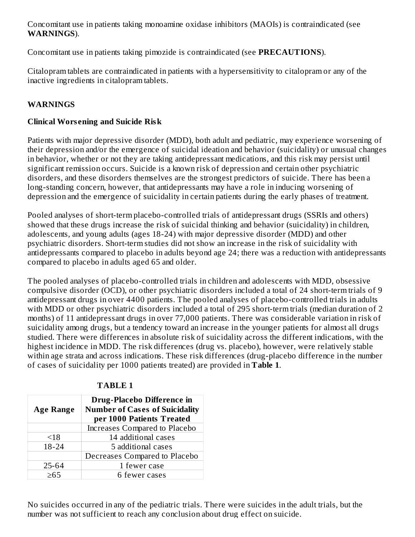Concomitant use in patients taking monoamine oxidase inhibitors (MAOIs) is contraindicated (see **WARNINGS**).

Concomitant use in patients taking pimozide is contraindicated (see **PRECAUTIONS**).

Citalopram tablets are contraindicated in patients with a hypersensitivity to citalopram or any of the inactive ingredients in citalopram tablets.

## **WARNINGS**

#### **Clinical Wors ening and Suicide Risk**

Patients with major depressive disorder (MDD), both adult and pediatric, may experience worsening of their depression and/or the emergence of suicidal ideation and behavior (suicidality) or unusual changes in behavior, whether or not they are taking antidepressant medications, and this risk may persist until significant remission occurs. Suicide is a known risk of depression and certain other psychiatric disorders, and these disorders themselves are the strongest predictors of suicide. There has been a long-standing concern, however, that antidepressants may have a role in inducing worsening of depression and the emergence of suicidality in certain patients during the early phases of treatment.

Pooled analyses of short-term placebo-controlled trials of antidepressant drugs (SSRIs and others) showed that these drugs increase the risk of suicidal thinking and behavior (suicidality) in children, adolescents, and young adults (ages 18-24) with major depressive disorder (MDD) and other psychiatric disorders. Short-term studies did not show an increase in the risk of suicidality with antidepressants compared to placebo in adults beyond age 24; there was a reduction with antidepressants compared to placebo in adults aged 65 and older.

The pooled analyses of placebo-controlled trials in children and adolescents with MDD, obsessive compulsive disorder (OCD), or other psychiatric disorders included a total of 24 short-term trials of 9 antidepressant drugs in over 4400 patients. The pooled analyses of placebo-controlled trials in adults with MDD or other psychiatric disorders included a total of 295 short-term trials (median duration of 2 months) of 11 antidepressant drugs in over 77,000 patients. There was considerable variation in risk of suicidality among drugs, but a tendency toward an increase in the younger patients for almost all drugs studied. There were differences in absolute risk of suicidality across the different indications, with the highest incidence in MDD. The risk differences (drug vs. placebo), however, were relatively stable within age strata and across indications. These risk differences (drug-placebo difference in the number of cases of suicidality per 1000 patients treated) are provided in **Table 1**.

| <b>Age Range</b> | <b>Drug-Placebo Difference in</b><br><b>Number of Cases of Suicidality</b><br>per 1000 Patients Treated |  |  |  |
|------------------|---------------------------------------------------------------------------------------------------------|--|--|--|
|                  | Increases Compared to Placebo                                                                           |  |  |  |
| $<$ 18           | 14 additional cases                                                                                     |  |  |  |
| $18 - 24$        | 5 additional cases                                                                                      |  |  |  |
|                  | Decreases Compared to Placebo                                                                           |  |  |  |
| 25-64            | 1 fewer case                                                                                            |  |  |  |
| >65              | 6 fewer cases                                                                                           |  |  |  |

#### **TABLE 1**

No suicides occurred in any of the pediatric trials. There were suicides in the adult trials, but the number was not sufficient to reach any conclusion about drug effect on suicide.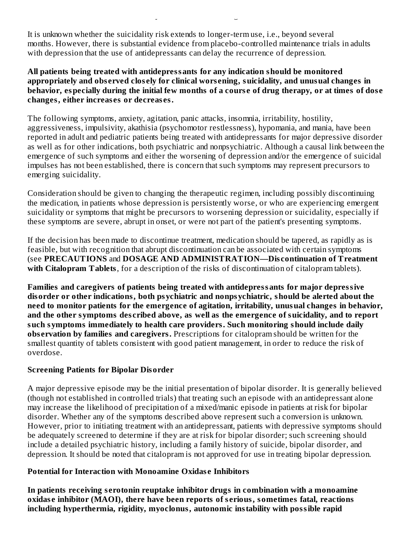It is unknown whether the suicidality risk extends to longer-term use, i.e., beyond several months. However, there is substantial evidence from placebo-controlled maintenance trials in adults with depression that the use of antidepressants can delay the recurrence of depression.

number was not sufficient to reach any conclusion about drug effect on suicide.

#### **All patients being treated with antidepressants for any indication should be monitored appropriately and obs erved clos ely for clinical wors ening, suicidality, and unusual changes in** behavior, especially during the initial few months of a course of drug therapy, or at times of dose **changes, either increas es or decreas es.**

The following symptoms, anxiety, agitation, panic attacks, insomnia, irritability, hostility, aggressiveness, impulsivity, akathisia (psychomotor restlessness), hypomania, and mania, have been reported in adult and pediatric patients being treated with antidepressants for major depressive disorder as well as for other indications, both psychiatric and nonpsychiatric. Although a causal link between the emergence of such symptoms and either the worsening of depression and/or the emergence of suicidal impulses has not been established, there is concern that such symptoms may represent precursors to emerging suicidality.

Consideration should be given to changing the therapeutic regimen, including possibly discontinuing the medication, in patients whose depression is persistently worse, or who are experiencing emergent suicidality or symptoms that might be precursors to worsening depression or suicidality, especially if these symptoms are severe, abrupt in onset, or were not part of the patient's presenting symptoms.

If the decision has been made to discontinue treatment, medication should be tapered, as rapidly as is feasible, but with recognition that abrupt discontinuation can be associated with certain symptoms (see **PRECAUTIONS** and **DOSAGE AND ADMINISTRATION—Dis continuation of Treatment with Citalopram Tablets**, for a description of the risks of discontinuation of citalopram tablets).

**Families and caregivers of patients being treated with antidepressants for major depressive disorder or other indications, both psychiatric and nonpsychiatric, should be alerted about the need to monitor patients for the emergence of agitation, irritability, unusual changes in behavior, and the other symptoms des cribed above, as well as the emergence of suicidality, and to report such symptoms immediately to health care providers. Such monitoring should include daily obs ervation by families and caregivers.** Prescriptions for citalopram should be written for the smallest quantity of tablets consistent with good patient management, in order to reduce the risk of overdose.

#### **Screening Patients for Bipolar Disorder**

A major depressive episode may be the initial presentation of bipolar disorder. It is generally believed (though not established in controlled trials) that treating such an episode with an antidepressant alone may increase the likelihood of precipitation of a mixed/manic episode in patients at risk for bipolar disorder. Whether any of the symptoms described above represent such a conversion is unknown. However, prior to initiating treatment with an antidepressant, patients with depressive symptoms should be adequately screened to determine if they are at risk for bipolar disorder; such screening should include a detailed psychiatric history, including a family history of suicide, bipolar disorder, and depression. It should be noted that citalopram is not approved for use in treating bipolar depression.

#### **Potential for Interaction with Monoamine Oxidas e Inhibitors**

**In patients receiving s erotonin reuptake inhibitor drugs in combination with a monoamine oxidas e inhibitor (MAOI), there have been reports of s erious, sometimes fatal, reactions including hyperthermia, rigidity, myoclonus, autonomic instability with possible rapid**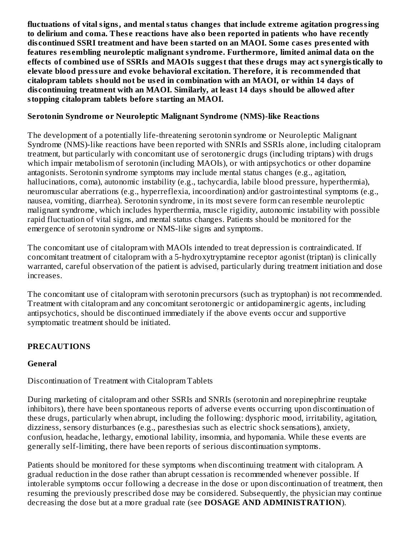**fluctuations of vital signs, and mental status changes that include extreme agitation progressing to delirium and coma. Thes e reactions have also been reported in patients who have recently dis continued SSRI treatment and have been started on an MAOI. Some cas es pres ented with features res embling neuroleptic malignant syndrome. Furthermore, limited animal data on the effects of combined us e of SSRIs and MAOIs suggest that thes e drugs may act synergistically to elevate blood pressure and evoke behavioral excitation. Therefore, it is recommended that citalopram tablets should not be us ed in combination with an MAOI, or within 14 days of dis continuing treatment with an MAOI. Similarly, at least 14 days should be allowed after stopping citalopram tablets before starting an MAOI.**

#### **Serotonin Syndrome or Neuroleptic Malignant Syndrome (NMS)-like Reactions**

The development of a potentially life-threatening serotonin syndrome or Neuroleptic Malignant Syndrome (NMS)-like reactions have been reported with SNRIs and SSRIs alone, including citalopram treatment, but particularly with concomitant use of serotonergic drugs (including triptans) with drugs which impair metabolism of serotonin (including MAOIs), or with antipsychotics or other dopamine antagonists. Serotonin syndrome symptoms may include mental status changes (e.g., agitation, hallucinations, coma), autonomic instability (e.g., tachycardia, labile blood pressure, hyperthermia), neuromuscular aberrations (e.g., hyperreflexia, incoordination) and/or gastrointestinal symptoms (e.g., nausea, vomiting, diarrhea). Serotonin syndrome, in its most severe form can resemble neuroleptic malignant syndrome, which includes hyperthermia, muscle rigidity, autonomic instability with possible rapid fluctuation of vital signs, and mental status changes. Patients should be monitored for the emergence of serotonin syndrome or NMS-like signs and symptoms.

The concomitant use of citalopram with MAOIs intended to treat depression is contraindicated. If concomitant treatment of citalopram with a 5-hydroxytryptamine receptor agonist (triptan) is clinically warranted, careful observation of the patient is advised, particularly during treatment initiation and dose increases.

The concomitant use of citalopram with serotonin precursors (such as tryptophan) is not recommended. Treatment with citalopram and any concomitant serotonergic or antidopaminergic agents, including antipsychotics, should be discontinued immediately if the above events occur and supportive symptomatic treatment should be initiated.

#### **PRECAUTIONS**

#### **General**

Discontinuation of Treatment with Citalopram Tablets

During marketing of citalopram and other SSRIs and SNRIs (serotonin and norepinephrine reuptake inhibitors), there have been spontaneous reports of adverse events occurring upon discontinuation of these drugs, particularly when abrupt, including the following: dysphoric mood, irritability, agitation, dizziness, sensory disturbances (e.g., paresthesias such as electric shock sensations), anxiety, confusion, headache, lethargy, emotional lability, insomnia, and hypomania. While these events are generally self-limiting, there have been reports of serious discontinuation symptoms.

Patients should be monitored for these symptoms when discontinuing treatment with citalopram. A gradual reduction in the dose rather than abrupt cessation is recommended whenever possible. If intolerable symptoms occur following a decrease in the dose or upon discontinuation of treatment, then resuming the previously prescribed dose may be considered. Subsequently, the physician may continue decreasing the dose but at a more gradual rate (see **DOSAGE AND ADMINISTRATION**).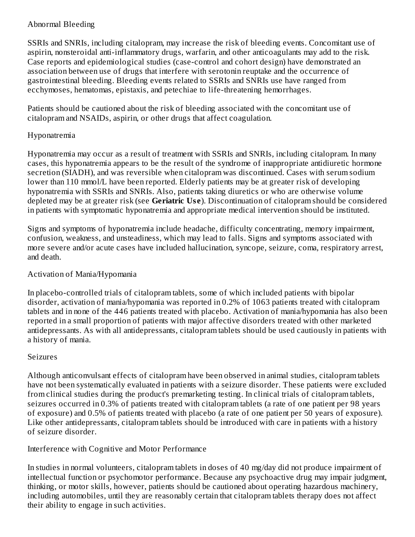#### Abnormal Bleeding

SSRIs and SNRIs, including citalopram, may increase the risk of bleeding events. Concomitant use of aspirin, nonsteroidal anti-inflammatory drugs, warfarin, and other anticoagulants may add to the risk. Case reports and epidemiological studies (case-control and cohort design) have demonstrated an association between use of drugs that interfere with serotonin reuptake and the occurrence of gastrointestinal bleeding. Bleeding events related to SSRIs and SNRIs use have ranged from ecchymoses, hematomas, epistaxis, and petechiae to life-threatening hemorrhages.

Patients should be cautioned about the risk of bleeding associated with the concomitant use of citalopram and NSAIDs, aspirin, or other drugs that affect coagulation.

## Hyponatremia

Hyponatremia may occur as a result of treatment with SSRIs and SNRIs, including citalopram. In many cases, this hyponatremia appears to be the result of the syndrome of inappropriate antidiuretic hormone secretion (SIADH), and was reversible when citalopram was discontinued. Cases with serum sodium lower than 110 mmol/L have been reported. Elderly patients may be at greater risk of developing hyponatremia with SSRIs and SNRIs. Also, patients taking diuretics or who are otherwise volume depleted may be at greater risk (see **Geriatric Us e**). Discontinuation of citalopram should be considered in patients with symptomatic hyponatremia and appropriate medical intervention should be instituted.

Signs and symptoms of hyponatremia include headache, difficulty concentrating, memory impairment, confusion, weakness, and unsteadiness, which may lead to falls. Signs and symptoms associated with more severe and/or acute cases have included hallucination, syncope, seizure, coma, respiratory arrest, and death.

## Activation of Mania/Hypomania

In placebo-controlled trials of citalopram tablets, some of which included patients with bipolar disorder, activation of mania/hypomania was reported in 0.2% of 1063 patients treated with citalopram tablets and in none of the 446 patients treated with placebo. Activation of mania/hypomania has also been reported in a small proportion of patients with major affective disorders treated with other marketed antidepressants. As with all antidepressants, citalopram tablets should be used cautiously in patients with a history of mania.

## Seizures

Although anticonvulsant effects of citalopram have been observed in animal studies, citalopram tablets have not been systematically evaluated in patients with a seizure disorder. These patients were excluded from clinical studies during the product's premarketing testing. In clinical trials of citalopram tablets, seizures occurred in 0.3% of patients treated with citalopram tablets (a rate of one patient per 98 years of exposure) and 0.5% of patients treated with placebo (a rate of one patient per 50 years of exposure). Like other antidepressants, citalopram tablets should be introduced with care in patients with a history of seizure disorder.

## Interference with Cognitive and Motor Performance

In studies in normal volunteers, citalopram tablets in doses of 40 mg/day did not produce impairment of intellectual function or psychomotor performance. Because any psychoactive drug may impair judgment, thinking, or motor skills, however, patients should be cautioned about operating hazardous machinery, including automobiles, until they are reasonably certain that citalopram tablets therapy does not affect their ability to engage in such activities.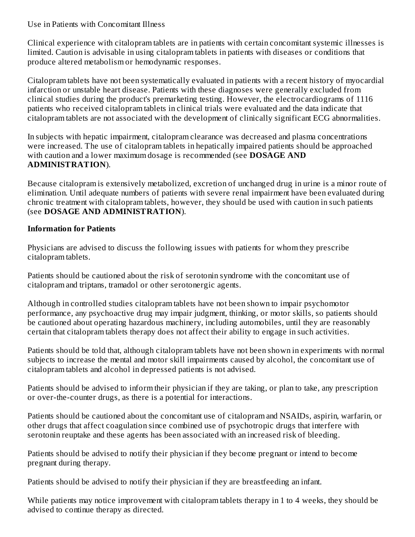Use in Patients with Concomitant Illness

Clinical experience with citalopram tablets are in patients with certain concomitant systemic illnesses is limited. Caution is advisable in using citalopram tablets in patients with diseases or conditions that produce altered metabolism or hemodynamic responses.

Citalopram tablets have not been systematically evaluated in patients with a recent history of myocardial infarction or unstable heart disease. Patients with these diagnoses were generally excluded from clinical studies during the product's premarketing testing. However, the electrocardiograms of 1116 patients who received citalopram tablets in clinical trials were evaluated and the data indicate that citalopram tablets are not associated with the development of clinically significant ECG abnormalities.

In subjects with hepatic impairment, citalopram clearance was decreased and plasma concentrations were increased. The use of citalopram tablets in hepatically impaired patients should be approached with caution and a lower maximum dosage is recommended (see **DOSAGE AND ADMINISTRATION**).

Because citalopram is extensively metabolized, excretion of unchanged drug in urine is a minor route of elimination. Until adequate numbers of patients with severe renal impairment have been evaluated during chronic treatment with citalopram tablets, however, they should be used with caution in such patients (see **DOSAGE AND ADMINISTRATION**).

#### **Information for Patients**

Physicians are advised to discuss the following issues with patients for whom they prescribe citalopram tablets.

Patients should be cautioned about the risk of serotonin syndrome with the concomitant use of citalopram and triptans, tramadol or other serotonergic agents.

Although in controlled studies citalopram tablets have not been shown to impair psychomotor performance, any psychoactive drug may impair judgment, thinking, or motor skills, so patients should be cautioned about operating hazardous machinery, including automobiles, until they are reasonably certain that citalopram tablets therapy does not affect their ability to engage in such activities.

Patients should be told that, although citalopram tablets have not been shown in experiments with normal subjects to increase the mental and motor skill impairments caused by alcohol, the concomitant use of citalopram tablets and alcohol in depressed patients is not advised.

Patients should be advised to inform their physician if they are taking, or plan to take, any prescription or over-the-counter drugs, as there is a potential for interactions.

Patients should be cautioned about the concomitant use of citalopram and NSAIDs, aspirin, warfarin, or other drugs that affect coagulation since combined use of psychotropic drugs that interfere with serotonin reuptake and these agents has been associated with an increased risk of bleeding.

Patients should be advised to notify their physician if they become pregnant or intend to become pregnant during therapy.

Patients should be advised to notify their physician if they are breastfeeding an infant.

While patients may notice improvement with citalopram tablets therapy in 1 to 4 weeks, they should be advised to continue therapy as directed.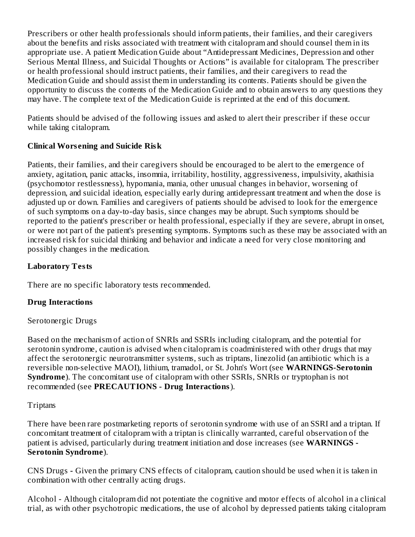Prescribers or other health professionals should inform patients, their families, and their caregivers about the benefits and risks associated with treatment with citalopram and should counsel them in its appropriate use. A patient Medication Guide about "Antidepressant Medicines, Depression and other Serious Mental Illness, and Suicidal Thoughts or Actions" is available for citalopram. The prescriber or health professional should instruct patients, their families, and their caregivers to read the Medication Guide and should assist them in understanding its contents. Patients should be given the opportunity to discuss the contents of the Medication Guide and to obtain answers to any questions they may have. The complete text of the Medication Guide is reprinted at the end of this document.

Patients should be advised of the following issues and asked to alert their prescriber if these occur while taking citalopram.

## **Clinical Wors ening and Suicide Risk**

Patients, their families, and their caregivers should be encouraged to be alert to the emergence of anxiety, agitation, panic attacks, insomnia, irritability, hostility, aggressiveness, impulsivity, akathisia (psychomotor restlessness), hypomania, mania, other unusual changes in behavior, worsening of depression, and suicidal ideation, especially early during antidepressant treatment and when the dose is adjusted up or down. Families and caregivers of patients should be advised to look for the emergence of such symptoms on a day-to-day basis, since changes may be abrupt. Such symptoms should be reported to the patient's prescriber or health professional, especially if they are severe, abrupt in onset, or were not part of the patient's presenting symptoms. Symptoms such as these may be associated with an increased risk for suicidal thinking and behavior and indicate a need for very close monitoring and possibly changes in the medication.

### **Laboratory Tests**

There are no specific laboratory tests recommended.

#### **Drug Interactions**

Serotonergic Drugs

Based on the mechanism of action of SNRIs and SSRIs including citalopram, and the potential for serotonin syndrome, caution is advised when citalopram is coadministered with other drugs that may affect the serotonergic neurotransmitter systems, such as triptans, linezolid (an antibiotic which is a reversible non-selective MAOI), lithium, tramadol, or St. John's Wort (see **WARNINGS-Serotonin Syndrome**). The concomitant use of citalopram with other SSRIs, SNRIs or tryptophan is not recommended (see **PRECAUTIONS - Drug Interactions**).

## **Triptans**

There have been rare postmarketing reports of serotonin syndrome with use of an SSRI and a triptan. If concomitant treatment of citalopram with a triptan is clinically warranted, careful observation of the patient is advised, particularly during treatment initiation and dose increases (see **WARNINGS - Serotonin Syndrome**).

CNS Drugs **-** Given the primary CNS effects of citalopram, caution should be used when it is taken in combination with other centrally acting drugs.

Alcohol - Although citalopram did not potentiate the cognitive and motor effects of alcohol in a clinical trial, as with other psychotropic medications, the use of alcohol by depressed patients taking citalopram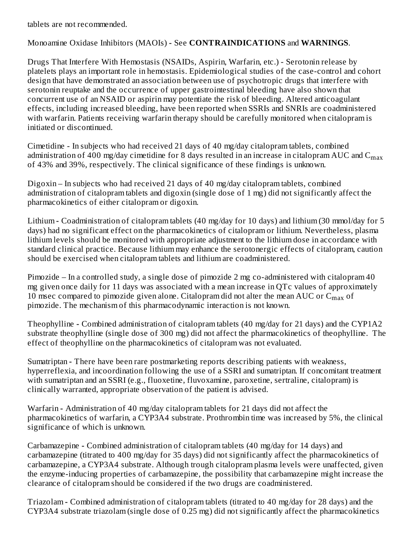tablets are not recommended.

## Monoamine Oxidase Inhibitors (MAOIs) **-** See **CONTRAINDICATIONS** and **WARNINGS**.

Drugs That Interfere With Hemostasis (NSAIDs, Aspirin, Warfarin, etc.) - Serotonin release by platelets plays an important role in hemostasis. Epidemiological studies of the case-control and cohort design that have demonstrated an association between use of psychotropic drugs that interfere with serotonin reuptake and the occurrence of upper gastrointestinal bleeding have also shown that concurrent use of an NSAID or aspirin may potentiate the risk of bleeding. Altered anticoagulant effects, including increased bleeding, have been reported when SSRIs and SNRIs are coadministered with warfarin. Patients receiving warfarin therapy should be carefully monitored when citalopram is initiated or discontinued.

Cimetidine - In subjects who had received 21 days of 40 mg/day citalopram tablets, combined administration of 400 mg/day cimetidine for 8 days resulted in an increase in citalopram AUC and  $\rm{C_{max}}$ of 43% and 39%, respectively. The clinical significance of these findings is unknown.

Digoxin – In subjects who had received 21 days of 40 mg/day citalopram tablets, combined administration of citalopram tablets and digoxin (single dose of 1 mg) did not significantly affect the pharmacokinetics of either citalopram or digoxin.

Lithium **-** Coadministration of citalopram tablets (40 mg/day for 10 days) and lithium (30 mmol/day for 5 days) had no significant effect on the pharmacokinetics of citalopram or lithium. Nevertheless, plasma lithium levels should be monitored with appropriate adjustment to the lithium dose in accordance with standard clinical practice. Because lithium may enhance the serotonergic effects of citalopram, caution should be exercised when citalopram tablets and lithium are coadministered.

Pimozide – In a controlled study, a single dose of pimozide 2 mg co-administered with citalopram 40 mg given once daily for 11 days was associated with a mean increase in QTc values of approximately 10 msec compared to pimozide given alone. Citalopram did not alter the mean AUC or  $C_{\rm max}$  of pimozide. The mechanism of this pharmacodynamic interaction is not known.

Theophylline **-** Combined administration of citalopram tablets (40 mg/day for 21 days) and the CYP1A2 substrate theophylline (single dose of 300 mg) did not affect the pharmacokinetics of theophylline. The effect of theophylline on the pharmacokinetics of citalopram was not evaluated.

Sumatriptan **-** There have been rare postmarketing reports describing patients with weakness, hyperreflexia, and incoordination following the use of a SSRI and sumatriptan. If concomitant treatment with sumatriptan and an SSRI (e.g., fluoxetine, fluvoxamine, paroxetine, sertraline, citalopram) is clinically warranted, appropriate observation of the patient is advised.

Warfarin **-** Administration of 40 mg/day citalopram tablets for 21 days did not affect the pharmacokinetics of warfarin, a CYP3A4 substrate. Prothrombin time was increased by 5%, the clinical significance of which is unknown.

Carbamazepine **-** Combined administration of citalopram tablets (40 mg/day for 14 days) and carbamazepine (titrated to 400 mg/day for 35 days) did not significantly affect the pharmacokinetics of carbamazepine, a CYP3A4 substrate. Although trough citalopram plasma levels were unaffected, given the enzyme-inducing properties of carbamazepine, the possibility that carbamazepine might increase the clearance of citalopram should be considered if the two drugs are coadministered.

Triazolam **-** Combined administration of citalopram tablets (titrated to 40 mg/day for 28 days) and the CYP3A4 substrate triazolam (single dose of 0.25 mg) did not significantly affect the pharmacokinetics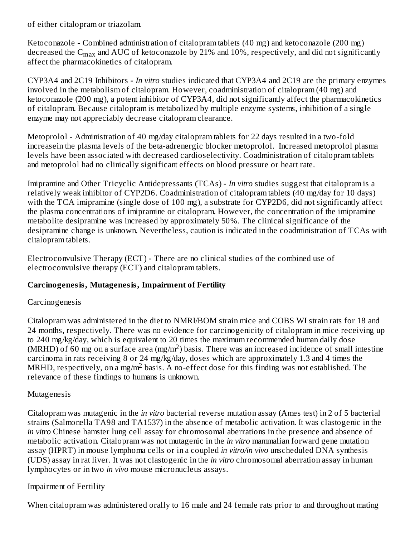of either citalopram or triazolam.

Ketoconazole **-** Combined administration of citalopram tablets (40 mg) and ketoconazole (200 mg) decreased the  $\rm{C_{max}}$  and  $\rm{AUC}$  of ketoconazole by 21% and 10%, respectively, and did not significantly affect the pharmacokinetics of citalopram.

CYP3A4 and 2C19 Inhibitors **-** *In vitro* studies indicated that CYP3A4 and 2C19 are the primary enzymes involved in the metabolism of citalopram. However, coadministration of citalopram (40 mg) and ketoconazole (200 mg), a potent inhibitor of CYP3A4, did not significantly affect the pharmacokinetics of citalopram. Because citalopram is metabolized by multiple enzyme systems, inhibition of a single enzyme may not appreciably decrease citalopram clearance.

Metoprolol **-** Administration of 40 mg/day citalopram tablets for 22 days resulted in a two-fold increasein the plasma levels of the beta-adrenergic blocker metoprolol. Increased metoprolol plasma levels have been associated with decreased cardioselectivity. Coadministration of citalopram tablets and metoprolol had no clinically significant effects on blood pressure or heart rate.

Imipramine and Other Tricyclic Antidepressants (TCAs) **-** *In vitro* studies suggest that citalopram is a relatively weak inhibitor of CYP2D6. Coadministration of citalopram tablets (40 mg/day for 10 days) with the TCA imipramine (single dose of 100 mg), a substrate for CYP2D6, did not significantly affect the plasma concentrations of imipramine or citalopram. However, the concentration of the imipramine metabolite desipramine was increased by approximately 50%. The clinical significance of the desipramine change is unknown. Nevertheless, caution is indicated in the coadministration of TCAs with citalopram tablets.

Electroconvulsive Therapy (ECT) - There are no clinical studies of the combined use of electroconvulsive therapy (ECT) and citalopram tablets.

#### **Carcinogenesis, Mutagenesis, Impairment of Fertility**

#### Carcinogenesis

Citalopram was administered in the diet to NMRI/BOM strain mice and COBS WI strain rats for 18 and 24 months, respectively. There was no evidence for carcinogenicity of citalopram in mice receiving up to 240 mg/kg/day, which is equivalent to 20 times the maximum recommended human daily dose  $(MRHD)$  of 60 mg on a surface area  $(mg/m<sup>2</sup>)$  basis. There was an increased incidence of small intestine carcinoma in rats receiving 8 or 24 mg/kg/day, doses which are approximately 1.3 and 4 times the MRHD, respectively, on a mg/m<sup>2</sup> basis. A no-effect dose for this finding was not established. The relevance of these findings to humans is unknown.

#### Mutagenesis

Citalopram was mutagenic in the *in vitro* bacterial reverse mutation assay (Ames test) in 2 of 5 bacterial strains (Salmonella TA98 and TA1537) in the absence of metabolic activation. It was clastogenic in the *in vitro* Chinese hamster lung cell assay for chromosomal aberrations in the presence and absence of metabolic activation. Citalopram was not mutagenic in the *in vitro* mammalian forward gene mutation assay (HPRT) in mouse lymphoma cells or in a coupled *in vitro/in vivo* unscheduled DNA synthesis (UDS) assay in rat liver. It was not clastogenic in the *in vitro* chromosomal aberration assay in human lymphocytes or in two *in vivo* mouse micronucleus assays.

#### Impairment of Fertility

When citalopram was administered orally to 16 male and 24 female rats prior to and throughout mating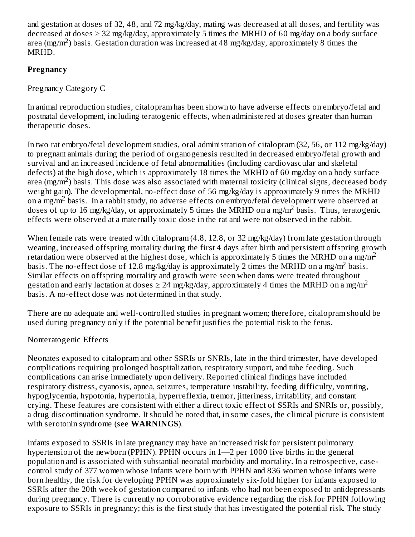and gestation at doses of 32, 48, and 72 mg/kg/day, mating was decreased at all doses, and fertility was decreased at doses  $\geq$  32 mg/kg/day, approximately 5 times the MRHD of 60 mg/day on a body surface area (mg/m<sup>2</sup>) basis. Gestation duration was increased at 48 mg/kg/day, approximately 8 times the MRHD.

## **Pregnancy**

Pregnancy Category C

In animal reproduction studies, citalopram has been shown to have adverse effects on embryo/fetal and postnatal development, including teratogenic effects, when administered at doses greater than human therapeutic doses.

In two rat embryo/fetal development studies, oral administration of citalopram (32, 56, or 112 mg/kg/day) to pregnant animals during the period of organogenesis resulted in decreased embryo/fetal growth and survival and an increased incidence of fetal abnormalities (including cardiovascular and skeletal defects) at the high dose, which is approximately 18 times the MRHD of 60 mg/day on a body surface area  $(mg/m^2)$  basis. This dose was also associated with maternal toxicity (clinical signs, decreased body weight gain). The developmental, no-effect dose of 56 mg/kg/day is approximately 9 times the MRHD on a mg/m<sup>2</sup> basis. In a rabbit study, no adverse effects on embryo/fetal development were observed at doses of up to 16 mg/kg/day, or approximately 5 times the MRHD on a mg/m<sup>2</sup> basis. Thus, teratogenic effects were observed at a maternally toxic dose in the rat and were not observed in the rabbit.

When female rats were treated with citalopram (4.8, 12.8, or 32 mg/kg/day) from late gestation through weaning, increased offspring mortality during the first 4 days after birth and persistent offspring growth retardation were observed at the highest dose, which is approximately 5 times the MRHD on a mg/m<sup>2</sup> basis. The no-effect dose of 12.8 mg/kg/day is approximately 2 times the MRHD on a mg/m<sup>2</sup> basis. Similar effects on offspring mortality and growth were seen when dams were treated throughout gestation and early lactation at doses  $\geq 24$  mg/kg/day, approximately 4 times the MRHD on a mg/m<sup>2</sup> basis. A no-effect dose was not determined in that study.

There are no adequate and well-controlled studies in pregnant women; therefore, citalopram should be used during pregnancy only if the potential benefit justifies the potential risk to the fetus.

## Nonteratogenic Effects

Neonates exposed to citalopram and other SSRIs or SNRIs, late in the third trimester, have developed complications requiring prolonged hospitalization, respiratory support, and tube feeding. Such complications can arise immediately upon delivery. Reported clinical findings have included respiratory distress, cyanosis, apnea, seizures, temperature instability, feeding difficulty, vomiting, hypoglycemia, hypotonia, hypertonia, hyperreflexia, tremor, jitteriness, irritability, and constant crying. These features are consistent with either a direct toxic effect of SSRIs and SNRIs or, possibly, a drug discontinuation syndrome. It should be noted that, in some cases, the clinical picture is consistent with serotonin syndrome (see **WARNINGS**).

Infants exposed to SSRIs in late pregnancy may have an increased risk for persistent pulmonary hypertension of the newborn (PPHN). PPHN occurs in 1—2 per 1000 live births in the general population and is associated with substantial neonatal morbidity and mortality. In a retrospective, casecontrol study of 377 women whose infants were born with PPHN and 836 women whose infants were born healthy, the risk for developing PPHN was approximately six-fold higher for infants exposed to SSRIs after the 20th week of gestation compared to infants who had not been exposed to antidepressants during pregnancy. There is currently no corroborative evidence regarding the risk for PPHN following exposure to SSRIs in pregnancy; this is the first study that has investigated the potential risk. The study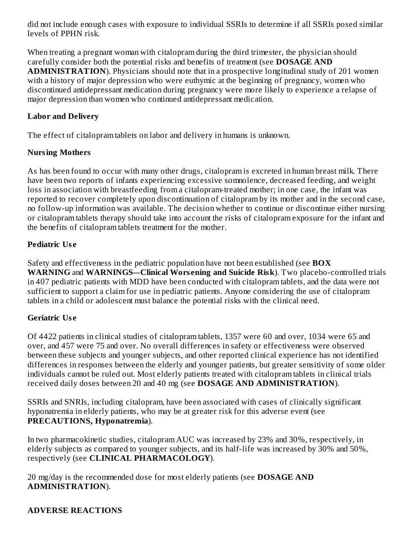did not include enough cases with exposure to individual SSRIs to determine if all SSRIs posed similar levels of PPHN risk.

When treating a pregnant woman with citalopram during the third trimester, the physician should carefully consider both the potential risks and benefits of treatment (see **DOSAGE AND ADMINISTRATION**). Physicians should note that in a prospective longitudinal study of 201 women with a history of major depression who were euthymic at the beginning of pregnancy, women who discontinued antidepressant medication during pregnancy were more likely to experience a relapse of major depression than women who continued antidepressant medication.

#### **Labor and Delivery**

The effect of citalopram tablets on labor and delivery in humans is unknown.

#### **Nursing Mothers**

As has been found to occur with many other drugs, citalopram is excreted in human breast milk. There have been two reports of infants experiencing excessive somnolence, decreased feeding, and weight loss in association with breastfeeding from a citalopram-treated mother; in one case, the infant was reported to recover completely upon discontinuation of citalopram by its mother and in the second case, no follow-up information was available. The decision whether to continue or discontinue either nursing or citalopram tablets therapy should take into account the risks of citalopram exposure for the infant and the benefits of citalopram tablets treatment for the mother.

## **Pediatric Us e**

Safety and effectiveness in the pediatric population have not been established (see **BOX WARNING** and **WARNINGS–-Clinical Wors ening and Suicide Risk**). Two placebo-controlled trials in 407 pediatric patients with MDD have been conducted with citalopram tablets, and the data were not sufficient to support a claim for use in pediatric patients. Anyone considering the use of citalopram tablets in a child or adolescent must balance the potential risks with the clinical need.

#### **Geriatric Us e**

Of 4422 patients in clinical studies of citalopram tablets, 1357 were 60 and over, 1034 were 65 and over, and 457 were 75 and over. No overall differences in safety or effectiveness were observed between these subjects and younger subjects, and other reported clinical experience has not identified differences in responses between the elderly and younger patients, but greater sensitivity of some older individuals cannot be ruled out. Most elderly patients treated with citalopram tablets in clinical trials received daily doses between 20 and 40 mg (see **DOSAGE AND ADMINISTRATION**).

SSRIs and SNRIs, including citalopram, have been associated with cases of clinically significant hyponatremia in elderly patients, who may be at greater risk for this adverse event (see **PRECAUTIONS, Hyponatremia**).

In two pharmacokinetic studies, citalopram AUC was increased by 23% and 30%, respectively, in elderly subjects as compared to younger subjects, and its half-life was increased by 30% and 50%, respectively (see **CLINICAL PHARMACOLOGY**).

20 mg/day is the recommended dose for most elderly patients (see **DOSAGE AND ADMINISTRATION**).

## **ADVERSE REACTIONS**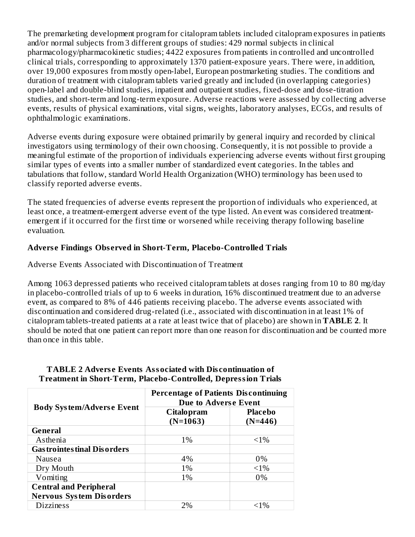The premarketing development program for citalopram tablets included citalopram exposures in patients and/or normal subjects from 3 different groups of studies: 429 normal subjects in clinical pharmacology/pharmacokinetic studies; 4422 exposures from patients in controlled and uncontrolled clinical trials, corresponding to approximately 1370 patient-exposure years. There were, in addition, over 19,000 exposures from mostly open-label, European postmarketing studies. The conditions and duration of treatment with citalopram tablets varied greatly and included (in overlapping categories) open-label and double-blind studies, inpatient and outpatient studies, fixed-dose and dose-titration studies, and short-term and long-term exposure. Adverse reactions were assessed by collecting adverse events, results of physical examinations, vital signs, weights, laboratory analyses, ECGs, and results of ophthalmologic examinations.

Adverse events during exposure were obtained primarily by general inquiry and recorded by clinical investigators using terminology of their own choosing. Consequently, it is not possible to provide a meaningful estimate of the proportion of individuals experiencing adverse events without first grouping similar types of events into a smaller number of standardized event categories. In the tables and tabulations that follow, standard World Health Organization (WHO) terminology has been used to classify reported adverse events.

The stated frequencies of adverse events represent the proportion of individuals who experienced, at least once, a treatment-emergent adverse event of the type listed. An event was considered treatmentemergent if it occurred for the first time or worsened while receiving therapy following baseline evaluation.

#### **Advers e Findings Obs erved in Short-Term, Placebo-Controlled Trials**

Adverse Events Associated with Discontinuation of Treatment

Among 1063 depressed patients who received citalopram tablets at doses ranging from 10 to 80 mg/day in placebo-controlled trials of up to 6 weeks in duration, 16% discontinued treatment due to an adverse event, as compared to 8% of 446 patients receiving placebo. The adverse events associated with discontinuation and considered drug-related (i.e., associated with discontinuation in at least 1% of citalopram tablets-treated patients at a rate at least twice that of placebo) are shown in **TABLE 2**. It should be noted that one patient can report more than one reason for discontinuation and be counted more than once in this table.

|                                     | <b>Percentage of Patients Discontinuing</b><br><b>Due to Adverse Event</b> |                      |  |  |
|-------------------------------------|----------------------------------------------------------------------------|----------------------|--|--|
| <b>Body System/Adverse Event</b>    | <b>Citalopram</b><br>$(N=1063)$                                            | Placebo<br>$(N=446)$ |  |  |
| General                             |                                                                            |                      |  |  |
| Asthenia                            | 1%                                                                         | $< 1\%$              |  |  |
| <b>Gas trointes tinal Disorders</b> |                                                                            |                      |  |  |
| Nausea                              | 4%                                                                         | 0%                   |  |  |
| Dry Mouth                           | $1\%$                                                                      | $< 1\%$              |  |  |
| Vomiting                            | 1%                                                                         | $0\%$                |  |  |
| <b>Central and Peripheral</b>       |                                                                            |                      |  |  |
| <b>Nervous System Disorders</b>     |                                                                            |                      |  |  |
| Dizziness                           | 2%                                                                         | ${<}1\%$             |  |  |

#### **TABLE 2 Advers e Events Associated with Dis continuation of Treatment in Short-Term, Placebo-Controlled, Depression Trials**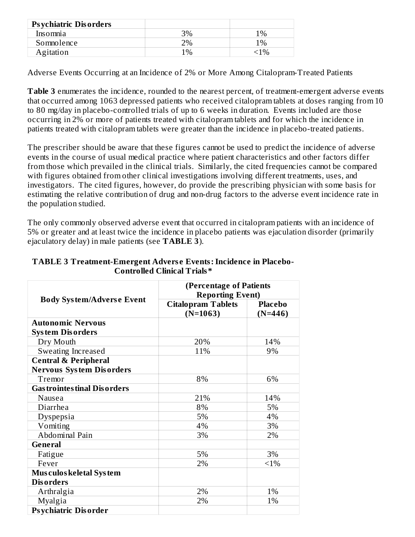| <b>Psychiatric Disorders</b> |    |    |
|------------------------------|----|----|
| Insomnia                     | 3% | 1% |
| Somnolence                   | 2% | 1% |
| Agitation                    | 1% | 1% |

Adverse Events Occurring at an Incidence of 2% or More Among Citalopram-Treated Patients

**Table 3** enumerates the incidence, rounded to the nearest percent, of treatment-emergent adverse events that occurred among 1063 depressed patients who received citalopram tablets at doses ranging from 10 to 80 mg/day in placebo-controlled trials of up to 6 weeks in duration. Events included are those occurring in 2% or more of patients treated with citalopram tablets and for which the incidence in patients treated with citalopram tablets were greater than the incidence in placebo-treated patients.

The prescriber should be aware that these figures cannot be used to predict the incidence of adverse events in the course of usual medical practice where patient characteristics and other factors differ from those which prevailed in the clinical trials. Similarly, the cited frequencies cannot be compared with figures obtained from other clinical investigations involving different treatments, uses, and investigators. The cited figures, however, do provide the prescribing physician with some basis for estimating the relative contribution of drug and non-drug factors to the adverse event incidence rate in the population studied.

The only commonly observed adverse event that occurred in citalopram patients with an incidence of 5% or greater and at least twice the incidence in placebo patients was ejaculation disorder (primarily ejaculatory delay) in male patients (see **TABLE 3**).

|                                     | (Percentage of Patients<br><b>Reporting Event)</b> |                             |  |  |
|-------------------------------------|----------------------------------------------------|-----------------------------|--|--|
| <b>Body System/Adverse Event</b>    | <b>Citalopram Tablets</b><br>$(N=1063)$            | <b>Placebo</b><br>$(N=446)$ |  |  |
| <b>Autonomic Nervous</b>            |                                                    |                             |  |  |
| <b>System Disorders</b>             |                                                    |                             |  |  |
| Dry Mouth                           | 20%                                                | 14%                         |  |  |
| Sweating Increased                  | 11%                                                | 9%                          |  |  |
| <b>Central &amp; Peripheral</b>     |                                                    |                             |  |  |
| <b>Nervous System Disorders</b>     |                                                    |                             |  |  |
| Tremor                              | 8%                                                 | 6%                          |  |  |
| <b>Gas trointes tinal Disorders</b> |                                                    |                             |  |  |
| Nausea                              | 21%                                                | 14%                         |  |  |
| Diarrhea                            | 8%                                                 | 5%                          |  |  |
| Dyspepsia                           | 5%                                                 | 4%                          |  |  |
| Vomiting                            | 4%                                                 | 3%                          |  |  |
| Abdominal Pain                      | 3%                                                 | 2%                          |  |  |
| <b>General</b>                      |                                                    |                             |  |  |
| Fatigue                             | 5%                                                 | 3%                          |  |  |
| Fever                               | 2%                                                 | $<1\%$                      |  |  |
| Musculos keletal System             |                                                    |                             |  |  |
| <b>Disorders</b>                    |                                                    |                             |  |  |
| Arthralgia                          | 2%                                                 | 1%                          |  |  |
| Myalgia                             | 2%                                                 | 1%                          |  |  |
| <b>Psychiatric Disorder</b>         |                                                    |                             |  |  |

#### **TABLE 3 Treatment-Emergent Advers e Events:Incidence in Placebo-Controlled Clinical Trials\***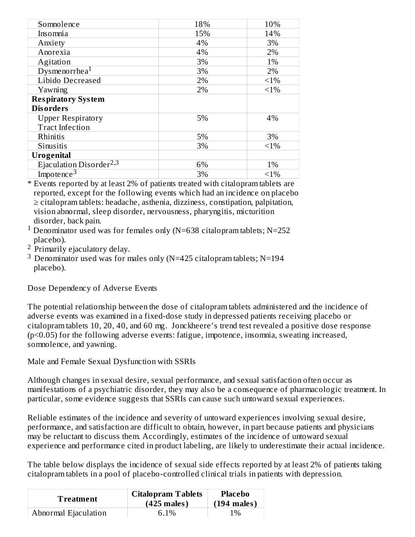| Somnolence                          | 18% | 10%     |
|-------------------------------------|-----|---------|
| Insomnia                            | 15% | 14%     |
| Anxiety                             | 4%  | 3%      |
| Anorexia                            | 4%  | 2%      |
| Agitation                           | 3%  | 1%      |
| Dysmenorrhea <sup>1</sup>           | 3%  | 2%      |
| Libido Decreased                    | 2%  | $<1\%$  |
| Yawning                             | 2%  | $< 1\%$ |
| <b>Respiratory System</b>           |     |         |
| <b>Disorders</b>                    |     |         |
| <b>Upper Respiratory</b>            | 5%  | 4%      |
| <b>Tract Infection</b>              |     |         |
| Rhinitis                            | 5%  | 3%      |
| Sinusitis                           | 3%  | $<1\%$  |
| <b>Urogenital</b>                   |     |         |
| Ejaculation Disorder <sup>2,3</sup> | 6%  | 1%      |
| Impotence $3$                       | 3%  | $<1\%$  |

\* Events reported by at least 2% of patients treated with citalopram tablets are reported, except for the following events which had an incidence on placebo ≥ citalopram tablets: headache, asthenia, dizziness, constipation, palpitation, vision abnormal, sleep disorder, nervousness, pharyngitis, micturition disorder, back pain.

- <sup>1</sup> Denominator used was for females only (N=638 citalopram tablets; N=252 placebo).
- $2$  Primarily ejaculatory delay.
- <sup>3</sup> Denominator used was for males only (N=425 citalopram tablets; N=194 placebo).

Dose Dependency of Adverse Events

The potential relationship between the dose of citalopram tablets administered and the incidence of adverse events was examined in a fixed-dose study in depressed patients receiving placebo or citalopram tablets 10, 20, 40, and 60 mg. Jonckheere's trend test revealed a positive dose response (p<0.05) for the following adverse events: fatigue, impotence, insomnia, sweating increased, somnolence, and yawning.

Male and Female Sexual Dysfunction with SSRIs

Although changes in sexual desire, sexual performance, and sexual satisfaction often occur as manifestations of a psychiatric disorder, they may also be a consequence of pharmacologic treatment. In particular, some evidence suggests that SSRIs can cause such untoward sexual experiences.

Reliable estimates of the incidence and severity of untoward experiences involving sexual desire, performance, and satisfaction are difficult to obtain, however, in part because patients and physicians may be reluctant to discuss them. Accordingly, estimates of the incidence of untoward sexual experience and performance cited in product labeling, are likely to underestimate their actual incidence.

The table below displays the incidence of sexual side effects reported by at least 2% of patients taking citalopram tablets in a pool of placebo-controlled clinical trials in patients with depression.

| Treatment            | <b>Citalopram Tablets</b><br>$(425$ males) | <b>Placebo</b><br>$(194$ males) |  |
|----------------------|--------------------------------------------|---------------------------------|--|
| Abnormal Ejaculation | 6.1%                                       | 1%                              |  |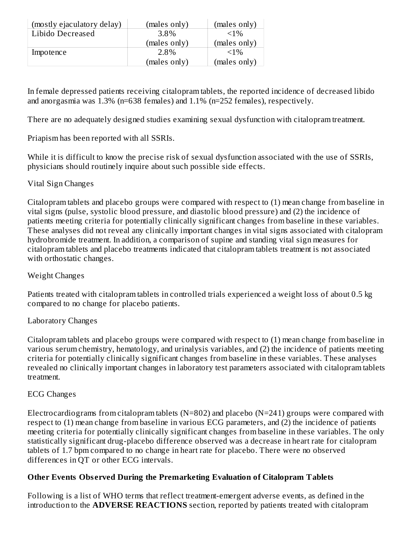| (mostly ejaculatory delay) | (males only) | (males only) |
|----------------------------|--------------|--------------|
| Libido Decreased           | 3.8%         | ${<}1\%$     |
|                            | (males only) | (males only) |
| Impotence                  | 2.8%         | ${<}1\%$     |
|                            | (males only) | (males only) |

In female depressed patients receiving citalopram tablets, the reported incidence of decreased libido and anorgasmia was 1.3% (n=638 females) and 1.1% (n=252 females), respectively.

There are no adequately designed studies examining sexual dysfunction with citalopram treatment.

Priapism has been reported with all SSRIs.

While it is difficult to know the precise risk of sexual dysfunction associated with the use of SSRIs, physicians should routinely inquire about such possible side effects.

## Vital Sign Changes

Citalopram tablets and placebo groups were compared with respect to (1) mean change from baseline in vital signs (pulse, systolic blood pressure, and diastolic blood pressure) and (2) the incidence of patients meeting criteria for potentially clinically significant changes from baseline in these variables. These analyses did not reveal any clinically important changes in vital signs associated with citalopram hydrobromide treatment. In addition, a comparison of supine and standing vital sign measures for citalopram tablets and placebo treatments indicated that citalopram tablets treatment is not associated with orthostatic changes.

## Weight Changes

Patients treated with citalopram tablets in controlled trials experienced a weight loss of about 0.5 kg compared to no change for placebo patients.

## Laboratory Changes

Citalopram tablets and placebo groups were compared with respect to (1) mean change from baseline in various serum chemistry, hematology, and urinalysis variables, and (2) the incidence of patients meeting criteria for potentially clinically significant changes from baseline in these variables. These analyses revealed no clinically important changes in laboratory test parameters associated with citalopram tablets treatment.

#### ECG Changes

Electrocardiograms from citalopram tablets ( $N=802$ ) and placebo ( $N=241$ ) groups were compared with respect to (1) mean change from baseline in various ECG parameters, and (2) the incidence of patients meeting criteria for potentially clinically significant changes from baseline in these variables. The only statistically significant drug-placebo difference observed was a decrease in heart rate for citalopram tablets of 1.7 bpm compared to no change in heart rate for placebo. There were no observed differences in QT or other ECG intervals.

## **Other Events Obs erved During the Premarketing Evaluation of Citalopram Tablets**

Following is a list of WHO terms that reflect treatment-emergent adverse events, as defined in the introduction to the **ADVERSE REACTIONS** section, reported by patients treated with citalopram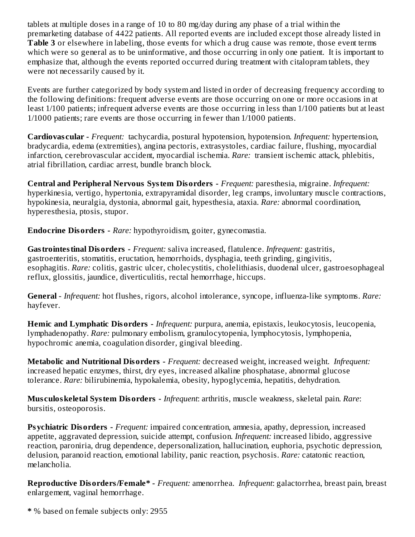tablets at multiple doses in a range of 10 to 80 mg/day during any phase of a trial within the premarketing database of 4422 patients. All reported events are included except those already listed in **Table 3** or elsewhere in labeling, those events for which a drug cause was remote, those event terms which were so general as to be uninformative, and those occurring in only one patient. It is important to emphasize that, although the events reported occurred during treatment with citalopram tablets, they were not necessarily caused by it.

Events are further categorized by body system and listed in order of decreasing frequency according to the following definitions: frequent adverse events are those occurring on one or more occasions in at least 1/100 patients; infrequent adverse events are those occurring in less than 1/100 patients but at least 1/1000 patients; rare events are those occurring in fewer than 1/1000 patients.

**Cardiovas cular -** *Frequent:* tachycardia, postural hypotension, hypotension. *Infrequent:* hypertension, bradycardia, edema (extremities), angina pectoris, extrasystoles, cardiac failure, flushing, myocardial infarction, cerebrovascular accident, myocardial ischemia. *Rare:* transient ischemic attack, phlebitis, atrial fibrillation, cardiac arrest, bundle branch block.

**Central and Peripheral Nervous System Disorders -** *Frequent:* paresthesia, migraine. *Infrequent:* hyperkinesia, vertigo, hypertonia, extrapyramidal disorder, leg cramps, involuntary muscle contractions, hypokinesia, neuralgia, dystonia, abnormal gait, hypesthesia, ataxia. *Rare:* abnormal coordination, hyperesthesia, ptosis, stupor.

**Endocrine Disorders -** *Rare:* hypothyroidism, goiter, gynecomastia.

**Gastrointestinal Disorders -** *Frequent:* saliva increased, flatulence. *Infrequent:* gastritis, gastroenteritis, stomatitis, eructation, hemorrhoids, dysphagia, teeth grinding, gingivitis, esophagitis. *Rare:* colitis, gastric ulcer, cholecystitis, cholelithiasis, duodenal ulcer, gastroesophageal reflux, glossitis, jaundice, diverticulitis, rectal hemorrhage, hiccups.

**General** - *Infrequent:* hot flushes, rigors, alcohol intolerance, syncope, influenza-like symptoms. *Rare:* hayfever.

**Hemic and Lymphatic Disorders -** *Infrequent:* purpura, anemia, epistaxis, leukocytosis, leucopenia, lymphadenopathy. *Rare:* pulmonary embolism, granulocytopenia, lymphocytosis, lymphopenia, hypochromic anemia, coagulation disorder, gingival bleeding.

**Metabolic and Nutritional Disorders -** *Frequent:* decreased weight, increased weight. *Infrequent:* increased hepatic enzymes, thirst, dry eyes, increased alkaline phosphatase, abnormal glucose tolerance. *Rare:* bilirubinemia, hypokalemia, obesity, hypoglycemia, hepatitis, dehydration.

**Mus culoskeletal System Disorders -** *Infrequent*: arthritis, muscle weakness, skeletal pain. *Rare*: bursitis, osteoporosis.

**Psychiatric Disorders -** *Frequent:* impaired concentration, amnesia, apathy, depression, increased appetite, aggravated depression, suicide attempt, confusion. *Infrequent:* increased libido, aggressive reaction, paroniria, drug dependence, depersonalization, hallucination, euphoria, psychotic depression, delusion, paranoid reaction, emotional lability, panic reaction, psychosis. *Rare:* catatonic reaction, melancholia.

**Reproductive Disorders/Female\* -** *Frequent:* amenorrhea. *Infrequent*: galactorrhea, breast pain, breast enlargement, vaginal hemorrhage.

**\*** % based on female subjects only: 2955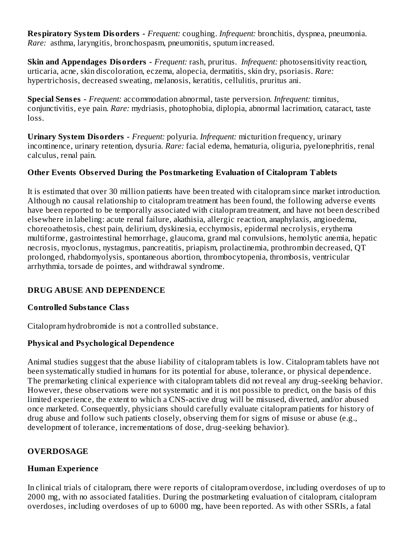**Respiratory System Disorders -** *Frequent:* coughing. *Infrequent:* bronchitis, dyspnea, pneumonia. *Rare:* asthma, laryngitis, bronchospasm, pneumonitis, sputum increased.

**Skin and Appendages Disorders -** *Frequent:* rash, pruritus. *Infrequent:* photosensitivity reaction, urticaria, acne, skin discoloration, eczema, alopecia, dermatitis, skin dry, psoriasis. *Rare:* hypertrichosis, decreased sweating, melanosis, keratitis, cellulitis, pruritus ani.

**Special Sens es -** *Frequent:* accommodation abnormal, taste perversion. *Infrequent:* tinnitus, conjunctivitis, eye pain. *Rare:* mydriasis, photophobia, diplopia, abnormal lacrimation, cataract, taste loss.

**Urinary System Disorders -** *Frequent:* polyuria. *Infrequent:* micturition frequency, urinary incontinence, urinary retention, dysuria. *Rare:* facial edema, hematuria, oliguria, pyelonephritis, renal calculus, renal pain.

## **Other Events Obs erved During the Postmarketing Evaluation of Citalopram Tablets**

It is estimated that over 30 million patients have been treated with citalopram since market introduction. Although no causal relationship to citalopram treatment has been found, the following adverse events have been reported to be temporally associated with citalopram treatment, and have not been described elsewhere in labeling: acute renal failure, akathisia, allergic reaction, anaphylaxis, angioedema, choreoathetosis, chest pain, delirium, dyskinesia, ecchymosis, epidermal necrolysis, erythema multiforme, gastrointestinal hemorrhage, glaucoma, grand mal convulsions, hemolytic anemia, hepatic necrosis, myoclonus, nystagmus, pancreatitis, priapism, prolactinemia, prothrombin decreased, QT prolonged, rhabdomyolysis, spontaneous abortion, thrombocytopenia, thrombosis, ventricular arrhythmia, torsade de pointes, and withdrawal syndrome.

#### **DRUG ABUSE AND DEPENDENCE**

#### **Controlled Substance Class**

Citalopram hydrobromide is not a controlled substance.

## **Physical and Psychological Dependence**

Animal studies suggest that the abuse liability of citalopram tablets is low. Citalopram tablets have not been systematically studied in humans for its potential for abuse, tolerance, or physical dependence. The premarketing clinical experience with citalopram tablets did not reveal any drug-seeking behavior. However, these observations were not systematic and it is not possible to predict, on the basis of this limited experience, the extent to which a CNS-active drug will be misused, diverted, and/or abused once marketed. Consequently, physicians should carefully evaluate citalopram patients for history of drug abuse and follow such patients closely, observing them for signs of misuse or abuse (e.g., development of tolerance, incrementations of dose, drug-seeking behavior).

## **OVERDOSAGE**

## **Human Experience**

In clinical trials of citalopram, there were reports of citalopram overdose, including overdoses of up to 2000 mg, with no associated fatalities. During the postmarketing evaluation of citalopram, citalopram overdoses, including overdoses of up to 6000 mg, have been reported. As with other SSRIs, a fatal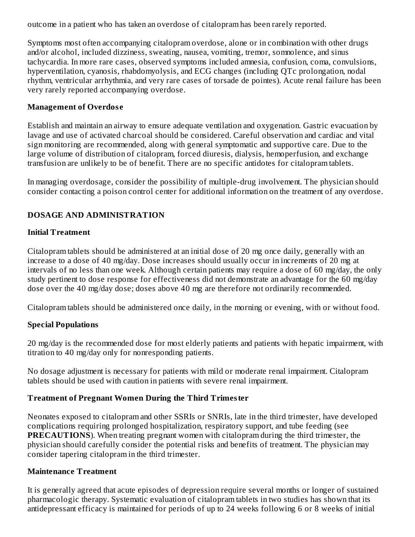outcome in a patient who has taken an overdose of citalopram has been rarely reported.

Symptoms most often accompanying citalopram overdose, alone or in combination with other drugs and/or alcohol, included dizziness, sweating, nausea, vomiting, tremor, somnolence, and sinus tachycardia. In more rare cases, observed symptoms included amnesia, confusion, coma, convulsions, hyperventilation, cyanosis, rhabdomyolysis, and ECG changes (including QTc prolongation, nodal rhythm, ventricular arrhythmia, and very rare cases of torsade de pointes). Acute renal failure has been very rarely reported accompanying overdose.

#### **Management of Overdos e**

Establish and maintain an airway to ensure adequate ventilation and oxygenation. Gastric evacuation by lavage and use of activated charcoal should be considered. Careful observation and cardiac and vital sign monitoring are recommended, along with general symptomatic and supportive care. Due to the large volume of distribution of citalopram, forced diuresis, dialysis, hemoperfusion, and exchange transfusion are unlikely to be of benefit. There are no specific antidotes for citalopram tablets.

In managing overdosage, consider the possibility of multiple-drug involvement. The physician should consider contacting a poison control center for additional information on the treatment of any overdose.

#### **DOSAGE AND ADMINISTRATION**

#### **Initial Treatment**

Citalopram tablets should be administered at an initial dose of 20 mg once daily, generally with an increase to a dose of 40 mg/day. Dose increases should usually occur in increments of 20 mg at intervals of no less than one week. Although certain patients may require a dose of 60 mg/day, the only study pertinent to dose response for effectiveness did not demonstrate an advantage for the 60 mg/day dose over the 40 mg/day dose; doses above 40 mg are therefore not ordinarily recommended.

Citalopram tablets should be administered once daily, in the morning or evening, with or without food.

#### **Special Populations**

20 mg/day is the recommended dose for most elderly patients and patients with hepatic impairment, with titration to 40 mg/day only for nonresponding patients.

No dosage adjustment is necessary for patients with mild or moderate renal impairment. Citalopram tablets should be used with caution in patients with severe renal impairment.

#### **Treatment of Pregnant Women During the Third Trimester**

Neonates exposed to citalopram and other SSRIs or SNRIs, late in the third trimester, have developed complications requiring prolonged hospitalization, respiratory support, and tube feeding (see **PRECAUTIONS**). When treating pregnant women with citalopram during the third trimester, the physician should carefully consider the potential risks and benefits of treatment. The physician may consider tapering citalopram in the third trimester.

#### **Maintenance Treatment**

It is generally agreed that acute episodes of depression require several months or longer of sustained pharmacologic therapy. Systematic evaluation of citalopram tablets in two studies has shown that its antidepressant efficacy is maintained for periods of up to 24 weeks following 6 or 8 weeks of initial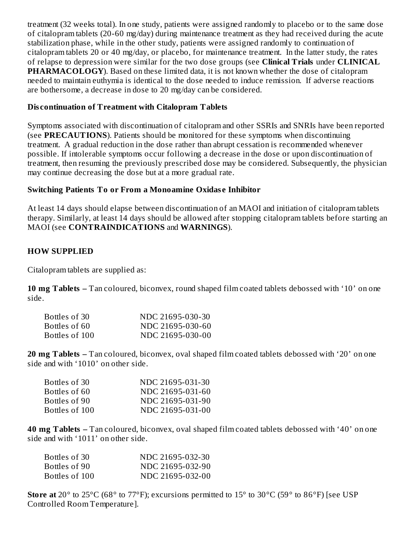treatment (32 weeks total). In one study, patients were assigned randomly to placebo or to the same dose of citalopram tablets (20-60 mg/day) during maintenance treatment as they had received during the acute stabilization phase, while in the other study, patients were assigned randomly to continuation of citalopram tablets 20 or 40 mg/day, or placebo, for maintenance treatment. In the latter study, the rates of relapse to depression were similar for the two dose groups (see **Clinical Trials** under **CLINICAL PHARMACOLOGY**). Based on these limited data, it is not known whether the dose of citalopram needed to maintain euthymia is identical to the dose needed to induce remission. If adverse reactions are bothersome, a decrease in dose to 20 mg/day can be considered.

#### **Dis continuation of Treatment with Citalopram Tablets**

Symptoms associated with discontinuation of citalopram and other SSRIs and SNRIs have been reported (see **PRECAUTIONS**). Patients should be monitored for these symptoms when discontinuing treatment. A gradual reduction in the dose rather than abrupt cessation is recommended whenever possible. If intolerable symptoms occur following a decrease in the dose or upon discontinuation of treatment, then resuming the previously prescribed dose may be considered. Subsequently, the physician may continue decreasing the dose but at a more gradual rate.

#### **Switching Patients To or From a Monoamine Oxidas e Inhibitor**

At least 14 days should elapse between discontinuation of an MAOI and initiation of citalopram tablets therapy. Similarly, at least 14 days should be allowed after stopping citalopram tablets before starting an MAOI (see **CONTRAINDICATIONS** and **WARNINGS**).

#### **HOW SUPPLIED**

Citalopram tablets are supplied as:

**10 mg Tablets –** Tan coloured, biconvex, round shaped film coated tablets debossed with '10' on one side.

| Bottles of 30  | NDC 21695-030-30 |
|----------------|------------------|
| Bottles of 60  | NDC 21695-030-60 |
| Bottles of 100 | NDC 21695-030-00 |

**20 mg Tablets –** Tan coloured, biconvex, oval shaped film coated tablets debossed with '20' on one side and with '1010' on other side.

| Bottles of 30  | NDC 21695-031-30 |
|----------------|------------------|
| Bottles of 60  | NDC 21695-031-60 |
| Bottles of 90  | NDC 21695-031-90 |
| Bottles of 100 | NDC 21695-031-00 |

**40 mg Tablets –** Tan coloured, biconvex, oval shaped film coated tablets debossed with '40' on one side and with '1011' on other side.

| Bottles of 30  | NDC 21695-032-30 |
|----------------|------------------|
| Bottles of 90  | NDC 21695-032-90 |
| Bottles of 100 | NDC 21695-032-00 |

**Store at** 20° to 25°C (68° to 77°F); excursions permitted to 15° to 30°C (59° to 86°F) [see USP Controlled Room Temperature].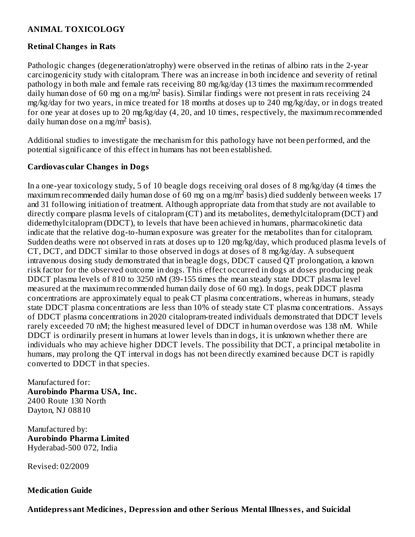#### **ANIMAL TOXICOLOGY**

#### **Retinal Changes in Rats**

Pathologic changes (degeneration/atrophy) were observed in the retinas of albino rats in the 2-year carcinogenicity study with citalopram. There was an increase in both incidence and severity of retinal pathology in both male and female rats receiving 80 mg/kg/day (13 times the maximum recommended daily human dose of 60 mg on a mg/m<sup>2</sup> basis). Similar findings were not present in rats receiving 24 mg/kg/day for two years, in mice treated for 18 months at doses up to 240 mg/kg/day, or in dogs treated for one year at doses up to 20 mg/kg/day (4, 20, and 10 times, respectively, the maximum recommended daily human dose on a mg/m<sup>2</sup> basis).

Additional studies to investigate the mechanism for this pathology have not been performed, and the potential significance of this effect in humans has not been established.

#### **Cardiovas cular Changes in Dogs**

In a one-year toxicology study, 5 of 10 beagle dogs receiving oral doses of 8 mg/kg/day (4 times the  $\frac{1}{2}$  maximum recommended daily human dose of 60 mg on a mg/m<sup>2</sup> basis) died suddenly between weeks 17 and 31 following initiation of treatment. Although appropriate data from that study are not available to directly compare plasma levels of citalopram (CT) and its metabolites, demethylcitalopram (DCT) and didemethylcitalopram (DDCT), to levels that have been achieved in humans, pharmacokinetic data indicate that the relative dog-to-human exposure was greater for the metabolites than for citalopram. Sudden deaths were not observed in rats at doses up to 120 mg/kg/day, which produced plasma levels of CT, DCT, and DDCT similar to those observed in dogs at doses of 8 mg/kg/day. A subsequent intravenous dosing study demonstrated that in beagle dogs, DDCT caused QT prolongation, a known risk factor for the observed outcome in dogs. This effect occurred in dogs at doses producing peak DDCT plasma levels of 810 to 3250 nM (39-155 times the mean steady state DDCT plasma level measured at the maximum recommended human daily dose of 60 mg). In dogs, peak DDCT plasma concentrations are approximately equal to peak CT plasma concentrations, whereas in humans, steady state DDCT plasma concentrations are less than 10% of steady state CT plasma concentrations. Assays of DDCT plasma concentrations in 2020 citalopram-treated individuals demonstrated that DDCT levels rarely exceeded 70 nM; the highest measured level of DDCT in human overdose was 138 nM. While DDCT is ordinarily present in humans at lower levels than in dogs, it is unknown whether there are individuals who may achieve higher DDCT levels. The possibility that DCT, a principal metabolite in humans, may prolong the QT interval in dogs has not been directly examined because DCT is rapidly converted to DDCT in that species.

Manufactured for: **Aurobindo Pharma USA, Inc.** 2400 Route 130 North Dayton, NJ 08810

Manufactured by: **Aurobindo Pharma Limited** Hyderabad-500 072, India

Revised: 02/2009

#### **Medication Guide**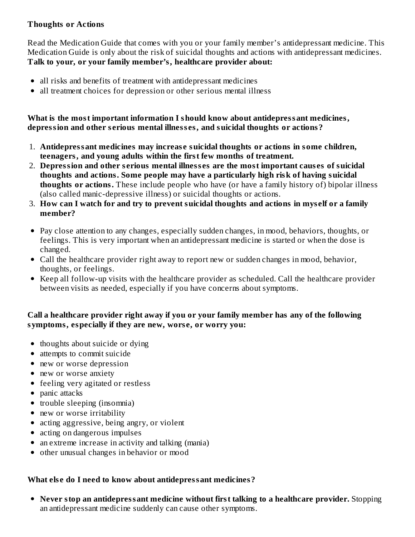## **Thoughts or Actions**

Read the Medication Guide that comes with you or your family member's antidepressant medicine. This Medication Guide is only about the risk of suicidal thoughts and actions with antidepressant medicines. **Talk to your, or your family member's, healthcare provider about:**

- all risks and benefits of treatment with antidepressant medicines
- all treatment choices for depression or other serious mental illness

**What is the most important information I should know about antidepressant medicines, depression and other s erious mental illness es, and suicidal thoughts or actions?**

- 1. **Antidepressant medicines may increas e suicidal thoughts or actions in some children, teenagers, and young adults within the first few months of treatment.**
- 2. **Depression and other s erious mental illness es are the most important caus es of suicidal thoughts and actions. Some people may have a particularly high risk of having suicidal thoughts or actions.** These include people who have (or have a family history of) bipolar illness (also called manic-depressive illness) or suicidal thoughts or actions.
- 3. How can I watch for and try to prevent suicidal thoughts and actions in myself or a family **member?**
- Pay close attention to any changes, especially sudden changes, in mood, behaviors, thoughts, or feelings. This is very important when an antidepressant medicine is started or when the dose is changed.
- Call the healthcare provider right away to report new or sudden changes in mood, behavior, thoughts, or feelings.
- Keep all follow-up visits with the healthcare provider as scheduled. Call the healthcare provider between visits as needed, especially if you have concerns about symptoms.

#### **Call a healthcare provider right away if you or your family member has any of the following symptoms, especially if they are new, wors e, or worry you:**

- $\bullet$  thoughts about suicide or dying
- attempts to commit suicide
- new or worse depression
- new or worse anxiety
- feeling very agitated or restless
- panic attacks
- trouble sleeping (insomnia)
- new or worse irritability
- acting aggressive, being angry, or violent
- acting on dangerous impulses
- an extreme increase in activity and talking (mania)
- other unusual changes in behavior or mood

#### **What els e do I need to know about antidepressant medicines?**

**Never stop an antidepressant medicine without first talking to a healthcare provider.** Stopping an antidepressant medicine suddenly can cause other symptoms.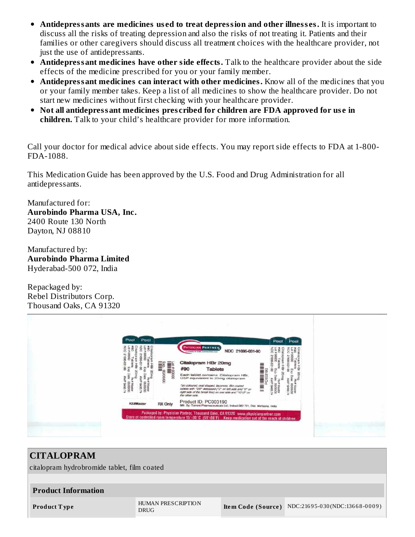- **Antidepressants are medicines us ed to treat depression and other illness es.** It is important to  $\bullet$ discuss all the risks of treating depression and also the risks of not treating it. Patients and their families or other caregivers should discuss all treatment choices with the healthcare provider, not just the use of antidepressants.
- **Antidepressant medicines have other side effects.** Talk to the healthcare provider about the side effects of the medicine prescribed for you or your family member.
- **Antidepressant medicines can interact with other medicines.** Know all of the medicines that you or your family member takes. Keep a list of all medicines to show the healthcare provider. Do not start new medicines without first checking with your healthcare provider.
- **Not all antidepressant medicines pres cribed for children are FDA approved for us e in children.** Talk to your child's healthcare provider for more information.

Call your doctor for medical advice about side effects. You may report side effects to FDA at 1-800- FDA-1088.

This Medication Guide has been approved by the U.S. Food and Drug Administration for all antidepressants.

Manufactured for: **Aurobindo Pharma USA, Inc.** 2400 Route 130 North Dayton, NJ 08810

Manufactured by: **Aurobindo Pharma Limited** Hyderabad-500 072, India

Repackaged by: Rebel Distributors Corp. Thousand Oaks, CA 91320



| <b>CITALOPRAM</b>                           |                            |                                                         |
|---------------------------------------------|----------------------------|---------------------------------------------------------|
| citalopram hydrobromide tablet, film coated |                            |                                                         |
|                                             |                            |                                                         |
| <b>Product Information</b>                  |                            |                                                         |
| <b>Product Type</b>                         | HUMAN PRESCRIPTION<br>DRUG | <b>Item Code (Source)</b> NDC:21695-030(NDC:13668-0009) |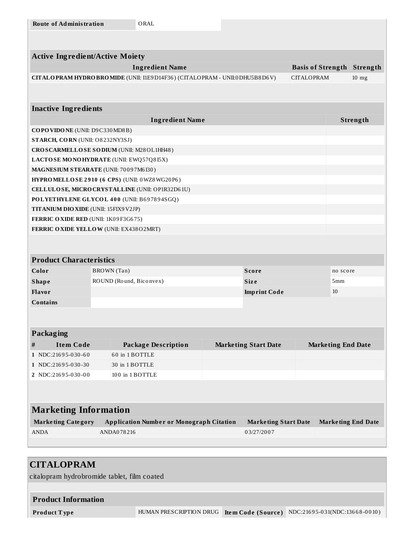| <b>Route of Administration</b>           |                    | ORAL                                                                      |  |                             |                   |                                   |          |
|------------------------------------------|--------------------|---------------------------------------------------------------------------|--|-----------------------------|-------------------|-----------------------------------|----------|
|                                          |                    |                                                                           |  |                             |                   |                                   |          |
|                                          |                    |                                                                           |  |                             |                   |                                   |          |
| <b>Active Ingredient/Active Moiety</b>   |                    |                                                                           |  |                             |                   |                                   |          |
|                                          |                    | <b>Ingredient Name</b>                                                    |  |                             |                   | <b>Basis of Strength Strength</b> |          |
|                                          |                    | CITALOPRAM HYDROBROMIDE (UNII: 11E9D14F36) (CITALOPRAM - UNII:0DHU5B8D6V) |  |                             | <b>CITALOPRAM</b> |                                   | $10$ mg  |
|                                          |                    |                                                                           |  |                             |                   |                                   |          |
|                                          |                    |                                                                           |  |                             |                   |                                   |          |
| <b>Inactive Ingredients</b>              |                    |                                                                           |  |                             |                   |                                   |          |
|                                          |                    | <b>Ingredient Name</b>                                                    |  |                             |                   |                                   | Strength |
| COPOVIDONE (UNII: D9C330MD8B)            |                    |                                                                           |  |                             |                   |                                   |          |
| STARCH, CORN (UNII: O8232NY3SJ)          |                    |                                                                           |  |                             |                   |                                   |          |
| CROSCARMELLOSE SODIUM (UNII: M28OL1HH48) |                    |                                                                           |  |                             |                   |                                   |          |
| LACTOSE MONOHYDRATE (UNII: EWQ57Q8I5X)   |                    |                                                                           |  |                             |                   |                                   |          |
| MAGNESIUM STEARATE (UNII: 70097M6I30)    |                    |                                                                           |  |                             |                   |                                   |          |
|                                          |                    | HYPROMELLOSE 2910 (6 CPS) (UNII: 0WZ8WG20P6)                              |  |                             |                   |                                   |          |
|                                          |                    | CELLULOSE, MICRO CRYSTALLINE (UNII: OP1R32D61U)                           |  |                             |                   |                                   |          |
|                                          |                    | POLYETHYLENE GLYCOL 400 (UNII: B697894SGQ)                                |  |                             |                   |                                   |          |
| TITANIUM DIO XIDE (UNII: 15FIX9V2JP)     |                    |                                                                           |  |                             |                   |                                   |          |
| FERRIC OXIDE RED (UNII: 1K09F3G675)      |                    |                                                                           |  |                             |                   |                                   |          |
| FERRIC OXIDE YELLOW (UNII: EX438O2MRT)   |                    |                                                                           |  |                             |                   |                                   |          |
|                                          |                    |                                                                           |  |                             |                   |                                   |          |
| <b>Product Characteristics</b>           |                    |                                                                           |  |                             |                   |                                   |          |
| Color                                    | <b>BROWN</b> (Tan) |                                                                           |  | <b>Score</b>                |                   | no score                          |          |
| <b>Shape</b>                             |                    | ROUND (Round, Biconvex)                                                   |  | <b>Size</b>                 |                   | 5mm                               |          |
| Flavor                                   |                    |                                                                           |  | <b>Imprint Code</b>         |                   | 10                                |          |
| Contains                                 |                    |                                                                           |  |                             |                   |                                   |          |
|                                          |                    |                                                                           |  |                             |                   |                                   |          |
|                                          |                    |                                                                           |  |                             |                   |                                   |          |
| Packaging                                |                    |                                                                           |  |                             |                   |                                   |          |
| <b>Item Code</b><br>#                    |                    | <b>Package Description</b>                                                |  | <b>Marketing Start Date</b> |                   | <b>Marketing End Date</b>         |          |
| 1 NDC:21695-030-60                       |                    | 60 in 1 BOTTLE                                                            |  |                             |                   |                                   |          |
| 1 NDC:21695-030-30                       |                    | 30 in 1 BOTTLE                                                            |  |                             |                   |                                   |          |
| 2 NDC:21695-030-00                       | 100 in 1 BOTTLE    |                                                                           |  |                             |                   |                                   |          |
|                                          |                    |                                                                           |  |                             |                   |                                   |          |
|                                          |                    |                                                                           |  |                             |                   |                                   |          |
|                                          |                    |                                                                           |  |                             |                   |                                   |          |
| <b>Marketing Information</b>             |                    |                                                                           |  |                             |                   |                                   |          |
| <b>Marketing Category</b>                |                    | <b>Application Number or Monograph Citation</b>                           |  | <b>Marketing Start Date</b> |                   | <b>Marketing End Date</b>         |          |
| <b>ANDA</b>                              |                    | ANDA078216                                                                |  | 03/27/2007                  |                   |                                   |          |
|                                          |                    |                                                                           |  |                             |                   |                                   |          |
|                                          |                    |                                                                           |  |                             |                   |                                   |          |

# **CITALOPRAM**

citalopram hydrobromide tablet, film coated

## **Product Information**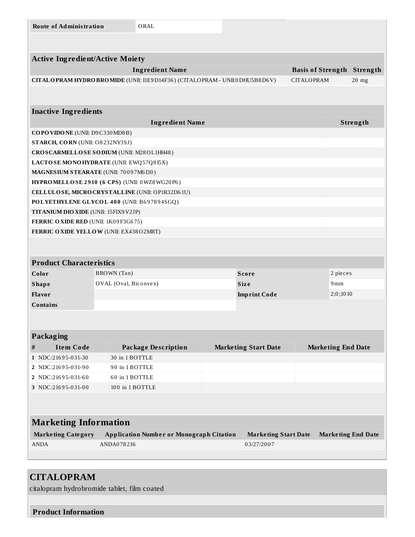|                              | <b>Route of Administration</b>                  |                                                 | ORAL                                                                      |  |  |                                   |                   |                           |                           |  |
|------------------------------|-------------------------------------------------|-------------------------------------------------|---------------------------------------------------------------------------|--|--|-----------------------------------|-------------------|---------------------------|---------------------------|--|
|                              |                                                 |                                                 |                                                                           |  |  |                                   |                   |                           |                           |  |
|                              |                                                 |                                                 |                                                                           |  |  |                                   |                   |                           |                           |  |
|                              | <b>Active Ingredient/Active Moiety</b>          |                                                 |                                                                           |  |  |                                   |                   |                           |                           |  |
|                              |                                                 |                                                 | <b>Ingredient Name</b>                                                    |  |  | <b>Basis of Strength Strength</b> |                   |                           |                           |  |
|                              |                                                 |                                                 | CITALOPRAM HYDROBROMIDE (UNII: 11E9D14F36) (CITALOPRAM - UNII:0DHU5B8D6V) |  |  |                                   | <b>CITALOPRAM</b> |                           | $20$ mg                   |  |
|                              |                                                 |                                                 |                                                                           |  |  |                                   |                   |                           |                           |  |
|                              | <b>Inactive Ingredients</b>                     |                                                 |                                                                           |  |  |                                   |                   |                           |                           |  |
| <b>Ingredient Name</b>       |                                                 |                                                 |                                                                           |  |  |                                   | Strength          |                           |                           |  |
|                              | COPOVIDONE (UNII: D9C330MD8B)                   |                                                 |                                                                           |  |  |                                   |                   |                           |                           |  |
|                              | STARCH, CORN (UNII: O8232NY3SJ)                 |                                                 |                                                                           |  |  |                                   |                   |                           |                           |  |
|                              | CROSCARMELLOSE SODIUM (UNII: M28OL1HH48)        |                                                 |                                                                           |  |  |                                   |                   |                           |                           |  |
|                              | LACTOSE MONOHYDRATE (UNII: EWQ57Q8I5X)          |                                                 |                                                                           |  |  |                                   |                   |                           |                           |  |
|                              | MAGNESIUM STEARATE (UNII: 70097M6I30)           |                                                 |                                                                           |  |  |                                   |                   |                           |                           |  |
|                              | HYPROMELLOSE 2910 (6 CPS) (UNII: 0WZ8WG20P6)    |                                                 |                                                                           |  |  |                                   |                   |                           |                           |  |
|                              | CELLULOSE, MICRO CRYSTALLINE (UNII: OP1R32D61U) |                                                 |                                                                           |  |  |                                   |                   |                           |                           |  |
|                              | POLYETHYLENE GLYCOL 400 (UNII: B697894SGQ)      |                                                 |                                                                           |  |  |                                   |                   |                           |                           |  |
|                              | TITANIUM DIO XIDE (UNII: 15FIX9V2JP)            |                                                 |                                                                           |  |  |                                   |                   |                           |                           |  |
|                              | FERRIC OXIDE RED (UNII: 1K09F3G675)             |                                                 |                                                                           |  |  |                                   |                   |                           |                           |  |
|                              | FERRIC OXIDE YELLOW (UNII: EX438O2MRT)          |                                                 |                                                                           |  |  |                                   |                   |                           |                           |  |
|                              |                                                 |                                                 |                                                                           |  |  |                                   |                   |                           |                           |  |
|                              |                                                 |                                                 |                                                                           |  |  |                                   |                   |                           |                           |  |
|                              | <b>Product Characteristics</b>                  |                                                 |                                                                           |  |  |                                   |                   |                           |                           |  |
| Color                        |                                                 | BROWN (Tan)                                     |                                                                           |  |  | <b>Score</b>                      |                   |                           | 2 pieces                  |  |
| <b>Shape</b>                 |                                                 |                                                 | OVAL (Oval, Biconvex)                                                     |  |  | <b>Size</b>                       | 9mm               |                           |                           |  |
| <b>Flavor</b>                |                                                 |                                                 |                                                                           |  |  | <b>Imprint Code</b>               |                   |                           | 2;0;1010                  |  |
| <b>Contains</b>              |                                                 |                                                 |                                                                           |  |  |                                   |                   |                           |                           |  |
|                              |                                                 |                                                 |                                                                           |  |  |                                   |                   |                           |                           |  |
|                              |                                                 |                                                 |                                                                           |  |  |                                   |                   |                           |                           |  |
|                              | Packaging                                       |                                                 |                                                                           |  |  |                                   |                   |                           |                           |  |
| #                            | <b>Item Code</b>                                |                                                 | <b>Package Description</b>                                                |  |  | <b>Marketing Start Date</b>       |                   | <b>Marketing End Date</b> |                           |  |
|                              | 1 NDC:21695-031-30                              | 30 in 1 BOTTLE                                  |                                                                           |  |  |                                   |                   |                           |                           |  |
|                              | 2 NDC:21695-031-90                              | 90 in 1 BOTTLE                                  |                                                                           |  |  |                                   |                   |                           |                           |  |
|                              | 2 NDC:21695-031-60                              | 60 in 1 BOTTLE                                  |                                                                           |  |  |                                   |                   |                           |                           |  |
|                              | 3 NDC:21695-031-00                              | 100 in 1 BOTTLE                                 |                                                                           |  |  |                                   |                   |                           |                           |  |
|                              |                                                 |                                                 |                                                                           |  |  |                                   |                   |                           |                           |  |
|                              |                                                 |                                                 |                                                                           |  |  |                                   |                   |                           |                           |  |
| <b>Marketing Information</b> |                                                 |                                                 |                                                                           |  |  |                                   |                   |                           |                           |  |
| <b>Marketing Category</b>    |                                                 | <b>Application Number or Monograph Citation</b> |                                                                           |  |  | <b>Marketing Start Date</b>       |                   |                           |                           |  |
| <b>ANDA</b>                  |                                                 | ANDA078216                                      |                                                                           |  |  | 03/27/2007                        |                   |                           | <b>Marketing End Date</b> |  |
|                              |                                                 |                                                 |                                                                           |  |  |                                   |                   |                           |                           |  |
|                              |                                                 |                                                 |                                                                           |  |  |                                   |                   |                           |                           |  |

## **CITALOPRAM**

citalopram hydrobromide tablet, film coated

#### **Product Information**